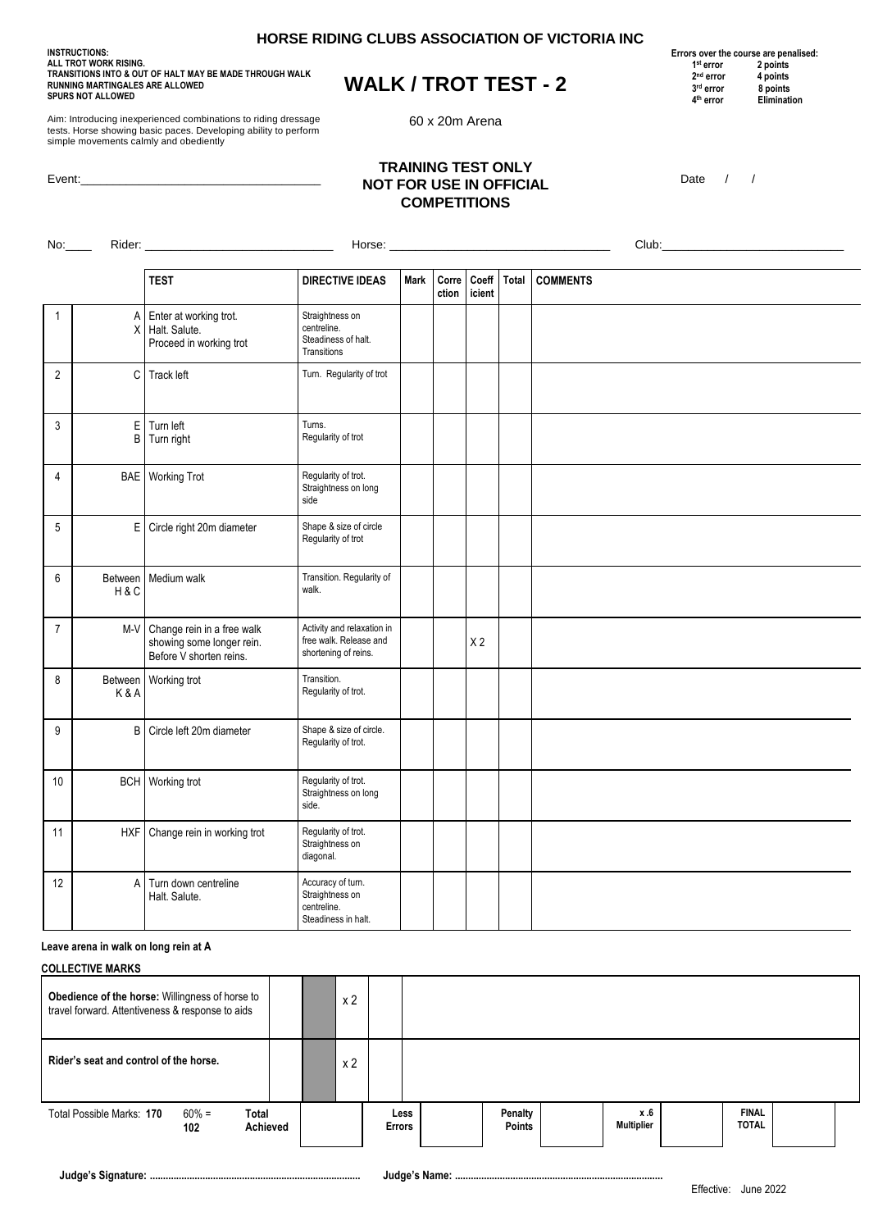**INSTRUCTIONS: ALL TROT WORK RISING. TRANSITIONS INTO & OUT OF HALT MAY BE MADE THROUGH WALK RUNNING MARTINGALES ARE ALLOWED SPURS NOT ALLOWED**

# **WALK / TROT TEST - 2**

60 x 20m Arena

**Errors over the course are penalised:**<br>
<sup>1st</sup> error 2 points<br>
<sup>2nd</sup> error 4 points **1 1 1 1 st error 2 points 2** 2<sup>nd</sup> error 4 points<br>3<sup>rd</sup> error 8 points **3** 3 <sup>3rd</sup> error 8 points<br>
<sup>4th</sup> error Eliminati  **4 Elimination** 

Aim: Introducing inexperienced combinations to riding dressage tests. Horse showing basic paces. Developing ability to perform simple movements calmly and obediently

Event:

### **TRAINING TEST ONLY NOT FOR USE IN OFFICIAL COMPETITIONS**

Date / /

| No:            | Rider:       |                                                                                        | Club:                                                                        |      |                |                 |       |                 |  |  |
|----------------|--------------|----------------------------------------------------------------------------------------|------------------------------------------------------------------------------|------|----------------|-----------------|-------|-----------------|--|--|
|                |              |                                                                                        |                                                                              |      |                |                 |       |                 |  |  |
|                |              | <b>TEST</b>                                                                            | <b>DIRECTIVE IDEAS</b>                                                       | Mark | Corre<br>ction | Coeff<br>icient | Total | <b>COMMENTS</b> |  |  |
| $\mathbf{1}$   | Α<br>X       | Enter at working trot.<br>Halt. Salute.<br>Proceed in working trot                     | Straightness on<br>centreline.<br>Steadiness of halt.<br>Transitions         |      |                |                 |       |                 |  |  |
| $\overline{2}$ | $\mathtt{C}$ | Track left                                                                             | Turn. Regularity of trot                                                     |      |                |                 |       |                 |  |  |
| 3              | E<br>B       | Turn left<br>Turn right                                                                | Tums.<br>Regularity of trot                                                  |      |                |                 |       |                 |  |  |
| $\overline{4}$ |              | <b>BAE</b> Working Trot                                                                | Regularity of trot.<br>Straightness on long<br>side                          |      |                |                 |       |                 |  |  |
| 5              |              | E Circle right 20m diameter                                                            | Shape & size of circle<br>Regularity of trot                                 |      |                |                 |       |                 |  |  |
| 6              | H&C          | Between Medium walk                                                                    | Transition. Regularity of<br>walk.                                           |      |                |                 |       |                 |  |  |
| $\overline{7}$ |              | M-V Change rein in a free walk<br>showing some longer rein.<br>Before V shorten reins. | Activity and relaxation in<br>free walk. Release and<br>shortening of reins. |      |                | X <sub>2</sub>  |       |                 |  |  |
| $\bf 8$        | K&A          | Between Working trot                                                                   | Transition.<br>Regularity of trot.                                           |      |                |                 |       |                 |  |  |
| 9              | B            | Circle left 20m diameter                                                               | Shape & size of circle.<br>Regularity of trot.                               |      |                |                 |       |                 |  |  |
| 10             |              | <b>BCH</b> Working trot                                                                | Regularity of trot.<br>Straightness on long<br>side.                         |      |                |                 |       |                 |  |  |
| 11             | <b>HXF</b>   | Change rein in working trot                                                            | Regularity of trot.<br>Straightness on<br>diagonal.                          |      |                |                 |       |                 |  |  |
| 12             | Α            | Turn down centreline<br>Halt. Salute.                                                  | Accuracy of turn.<br>Straightness on<br>centreline.<br>Steadiness in halt.   |      |                |                 |       |                 |  |  |

#### **Leave arena in walk on long rein at A**

| <b>COLLECTIVE MARKS</b>                                                                             |                                      |  |  |  |                |                       |  |                          |  |                          |                              |  |
|-----------------------------------------------------------------------------------------------------|--------------------------------------|--|--|--|----------------|-----------------------|--|--------------------------|--|--------------------------|------------------------------|--|
| Obedience of the horse: Willingness of horse to<br>travel forward. Attentiveness & response to aids |                                      |  |  |  | x 2            |                       |  |                          |  |                          |                              |  |
| Rider's seat and control of the horse.                                                              |                                      |  |  |  | x <sub>2</sub> |                       |  |                          |  |                          |                              |  |
| Total Possible Marks: 170                                                                           | Total<br>$60\% =$<br>Achieved<br>102 |  |  |  |                | Less<br><b>Errors</b> |  | Penalty<br><b>Points</b> |  | x.6<br><b>Multiplier</b> | <b>FINAL</b><br><b>TOTAL</b> |  |